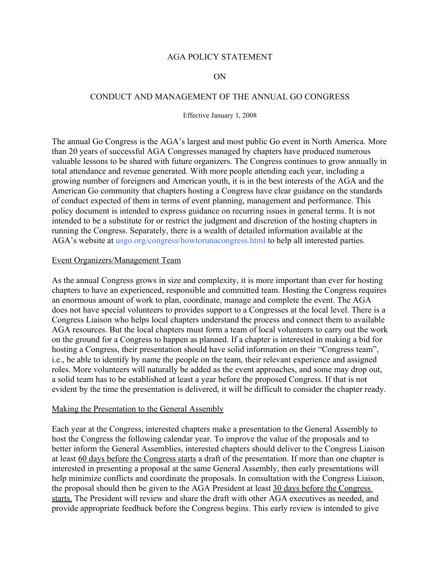### AGA POLICY STATEMENT

#### ON

### CONDUCT AND MANAGEMENT OF THE ANNUAL GO CONGRESS

Effective January 1, 2008

The annual Go Congress is the AGA's largest and most public Go event in North America. More than 20 years of successful AGA Congresses managed by chapters have produced numerous valuable lessons to be shared with future organizers. The Congress continues to grow annually in total attendance and revenue generated. With more people attending each year, including a growing number of foreigners and American youth, it is in the best interests of the AGA and the American Go community that chapters hosting a Congress have clear guidance on the standards of conduct expected of them in terms of event planning, management and performance. This policy document is intended to express guidance on recurring issues in general terms. It is not intended to be a substitute for or restrict the judgment and discretion of the hosting chapters in running the Congress. Separately, there is a wealth of detailed information available at the AGA's website at usgo.org/congress/howtorunacongress.html to help all interested parties.

#### Event Organizers/Management Team

As the annual Congress grows in size and complexity, it is more important than ever for hosting chapters to have an experienced, responsible and committed team. Hosting the Congress requires an enormous amount of work to plan, coordinate, manage and complete the event. The AGA does not have special volunteers to provides support to a Congresses at the local level. There is a Congress Liaison who helps local chapters understand the process and connect them to available AGA resources. But the local chapters must form a team of local volunteers to carry out the work on the ground for a Congress to happen as planned. If a chapter is interested in making a bid for hosting a Congress, their presentation should have solid information on their "Congress team", i.e., be able to identify by name the people on the team, their relevant experience and assigned roles. More volunteers will naturally be added as the event approaches, and some may drop out, a solid team has to be established at least a year before the proposed Congress. If that is not evident by the time the presentation is delivered, it will be difficult to consider the chapter ready.

#### Making the Presentation to the General Assembly

Each year at the Congress, interested chapters make a presentation to the General Assembly to host the Congress the following calendar year. To improve the value of the proposals and to better inform the General Assemblies, interested chapters should deliver to the Congress Liaison at least 60 days before the Congress starts a draft of the presentation. If more than one chapter is interested in presenting a proposal at the same General Assembly, then early presentations will help minimize conflicts and coordinate the proposals. In consultation with the Congress Liaison, the proposal should then be given to the AGA President at least 30 days before the Congress starts. The President will review and share the draft with other AGA executives as needed, and provide appropriate feedback before the Congress begins. This early review is intended to give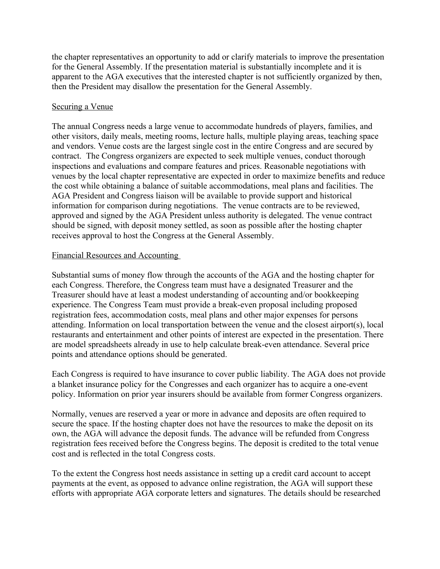the chapter representatives an opportunity to add or clarify materials to improve the presentation for the General Assembly. If the presentation material is substantially incomplete and it is apparent to the AGA executives that the interested chapter is not sufficiently organized by then, then the President may disallow the presentation for the General Assembly.

# Securing a Venue

The annual Congress needs a large venue to accommodate hundreds of players, families, and other visitors, daily meals, meeting rooms, lecture halls, multiple playing areas, teaching space and vendors. Venue costs are the largest single cost in the entire Congress and are secured by contract. The Congress organizers are expected to seek multiple venues, conduct thorough inspections and evaluations and compare features and prices. Reasonable negotiations with venues by the local chapter representative are expected in order to maximize benefits and reduce the cost while obtaining a balance of suitable accommodations, meal plans and facilities. The AGA President and Congress liaison will be available to provide support and historical information for comparison during negotiations. The venue contracts are to be reviewed, approved and signed by the AGA President unless authority is delegated. The venue contract should be signed, with deposit money settled, as soon as possible after the hosting chapter receives approval to host the Congress at the General Assembly.

## Financial Resources and Accounting

Substantial sums of money flow through the accounts of the AGA and the hosting chapter for each Congress. Therefore, the Congress team must have a designated Treasurer and the Treasurer should have at least a modest understanding of accounting and/or bookkeeping experience. The Congress Team must provide a break-even proposal including proposed registration fees, accommodation costs, meal plans and other major expenses for persons attending. Information on local transportation between the venue and the closest airport(s), local restaurants and entertainment and other points of interest are expected in the presentation. There are model spreadsheets already in use to help calculate break-even attendance. Several price points and attendance options should be generated.

Each Congress is required to have insurance to cover public liability. The AGA does not provide a blanket insurance policy for the Congresses and each organizer has to acquire a one-event policy. Information on prior year insurers should be available from former Congress organizers.

Normally, venues are reserved a year or more in advance and deposits are often required to secure the space. If the hosting chapter does not have the resources to make the deposit on its own, the AGA will advance the deposit funds. The advance will be refunded from Congress registration fees received before the Congress begins. The deposit is credited to the total venue cost and is reflected in the total Congress costs.

To the extent the Congress host needs assistance in setting up a credit card account to accept payments at the event, as opposed to advance online registration, the AGA will support these efforts with appropriate AGA corporate letters and signatures. The details should be researched